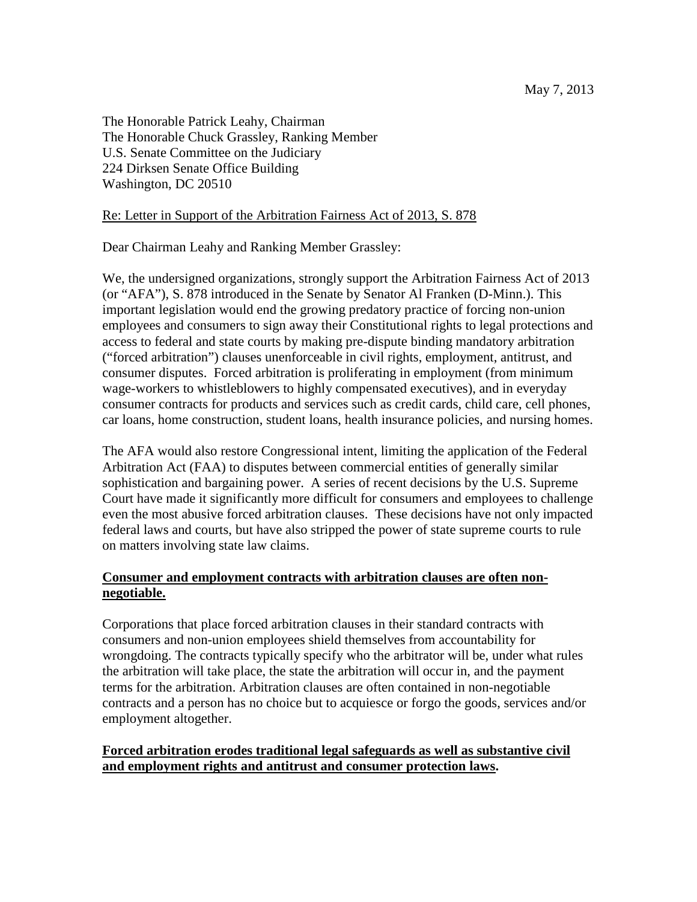The Honorable Patrick Leahy, Chairman The Honorable Chuck Grassley, Ranking Member U.S. Senate Committee on the Judiciary 224 Dirksen Senate Office Building Washington, DC 20510

## Re: Letter in Support of the Arbitration Fairness Act of 2013, S. 878

Dear Chairman Leahy and Ranking Member Grassley:

We, the undersigned organizations, strongly support the Arbitration Fairness Act of 2013 (or "AFA"), S. 878 introduced in the Senate by Senator Al Franken (D-Minn.). This important legislation would end the growing predatory practice of forcing non-union employees and consumers to sign away their Constitutional rights to legal protections and access to federal and state courts by making pre-dispute binding mandatory arbitration ("forced arbitration") clauses unenforceable in civil rights, employment, antitrust, and consumer disputes. Forced arbitration is proliferating in employment (from minimum wage-workers to whistleblowers to highly compensated executives), and in everyday consumer contracts for products and services such as credit cards, child care, cell phones, car loans, home construction, student loans, health insurance policies, and nursing homes.

The AFA would also restore Congressional intent, limiting the application of the Federal Arbitration Act (FAA) to disputes between commercial entities of generally similar sophistication and bargaining power. A series of recent decisions by the U.S. Supreme Court have made it significantly more difficult for consumers and employees to challenge even the most abusive forced arbitration clauses. These decisions have not only impacted federal laws and courts, but have also stripped the power of state supreme courts to rule on matters involving state law claims.

## **Consumer and employment contracts with arbitration clauses are often nonnegotiable.**

Corporations that place forced arbitration clauses in their standard contracts with consumers and non-union employees shield themselves from accountability for wrongdoing. The contracts typically specify who the arbitrator will be, under what rules the arbitration will take place, the state the arbitration will occur in, and the payment terms for the arbitration. Arbitration clauses are often contained in non-negotiable contracts and a person has no choice but to acquiesce or forgo the goods, services and/or employment altogether.

## **Forced arbitration erodes traditional legal safeguards as well as substantive civil and employment rights and antitrust and consumer protection laws.**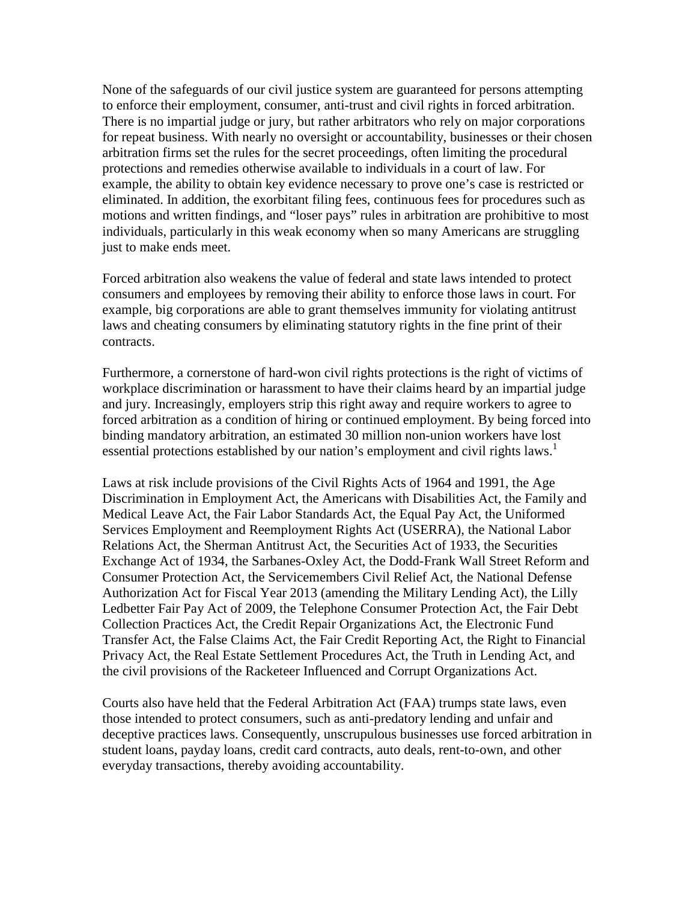None of the safeguards of our civil justice system are guaranteed for persons attempting to enforce their employment, consumer, anti-trust and civil rights in forced arbitration. There is no impartial judge or jury, but rather arbitrators who rely on major corporations for repeat business. With nearly no oversight or accountability, businesses or their chosen arbitration firms set the rules for the secret proceedings, often limiting the procedural protections and remedies otherwise available to individuals in a court of law. For example, the ability to obtain key evidence necessary to prove one's case is restricted or eliminated. In addition, the exorbitant filing fees, continuous fees for procedures such as motions and written findings, and "loser pays" rules in arbitration are prohibitive to most individuals, particularly in this weak economy when so many Americans are struggling just to make ends meet.

Forced arbitration also weakens the value of federal and state laws intended to protect consumers and employees by removing their ability to enforce those laws in court. For example, big corporations are able to grant themselves immunity for violating antitrust laws and cheating consumers by eliminating statutory rights in the fine print of their contracts.

Furthermore, a cornerstone of hard-won civil rights protections is the right of victims of workplace discrimination or harassment to have their claims heard by an impartial judge and jury. Increasingly, employers strip this right away and require workers to agree to forced arbitration as a condition of hiring or continued employment. By being forced into binding mandatory arbitration, an estimated 30 million non-union workers have lost essential protections established by our nation's employment and civil rights laws.<sup>1</sup>

Laws at risk include provisions of the Civil Rights Acts of 1964 and 1991, the Age Discrimination in Employment Act, the Americans with Disabilities Act, the Family and Medical Leave Act, the Fair Labor Standards Act, the Equal Pay Act, the Uniformed Services Employment and Reemployment Rights Act (USERRA), the National Labor Relations Act, the Sherman Antitrust Act, the Securities Act of 1933, the Securities Exchange Act of 1934, the Sarbanes-Oxley Act, the Dodd-Frank Wall Street Reform and Consumer Protection Act, the Servicemembers Civil Relief Act, the National Defense Authorization Act for Fiscal Year 2013 (amending the Military Lending Act), the Lilly Ledbetter Fair Pay Act of 2009, the Telephone Consumer Protection Act, the Fair Debt Collection Practices Act, the Credit Repair Organizations Act, the Electronic Fund Transfer Act, the False Claims Act, the Fair Credit Reporting Act, the Right to Financial Privacy Act, the Real Estate Settlement Procedures Act, the Truth in Lending Act, and the civil provisions of the Racketeer Influenced and Corrupt Organizations Act.

Courts also have held that the Federal Arbitration Act (FAA) trumps state laws, even those intended to protect consumers, such as anti-predatory lending and unfair and deceptive practices laws. Consequently, unscrupulous businesses use forced arbitration in student loans, payday loans, credit card contracts, auto deals, rent-to-own, and other everyday transactions, thereby avoiding accountability.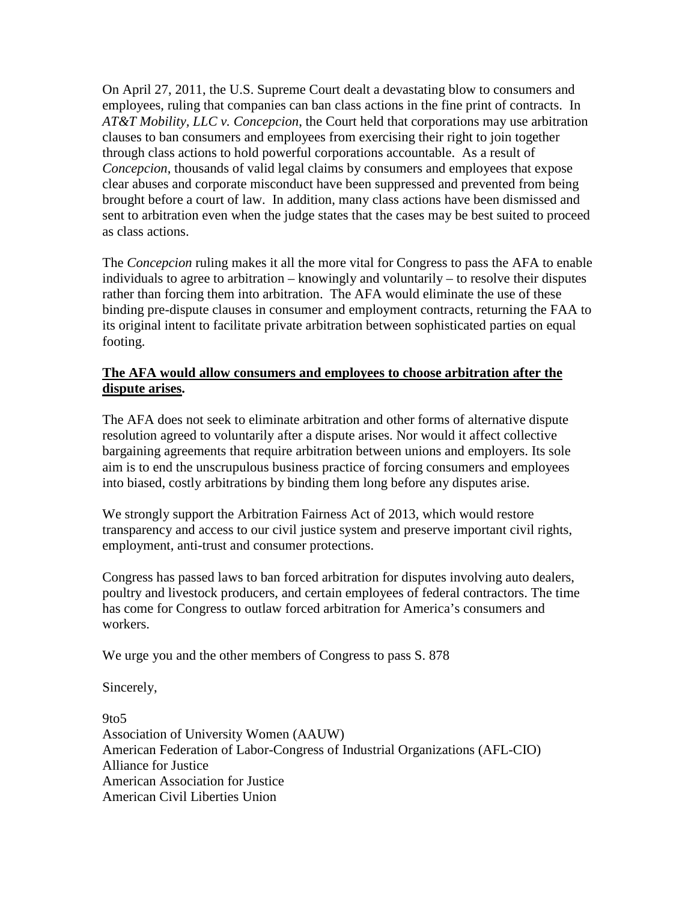On April 27, 2011, the U.S. Supreme Court dealt a devastating blow to consumers and employees, ruling that companies can ban class actions in the fine print of contracts. In *AT&T Mobility, LLC v. Concepcion*, the Court held that corporations may use arbitration clauses to ban consumers and employees from exercising their right to join together through class actions to hold powerful corporations accountable. As a result of *Concepcion*, thousands of valid legal claims by consumers and employees that expose clear abuses and corporate misconduct have been suppressed and prevented from being brought before a court of law. In addition, many class actions have been dismissed and sent to arbitration even when the judge states that the cases may be best suited to proceed as class actions.

The *Concepcion* ruling makes it all the more vital for Congress to pass the AFA to enable individuals to agree to arbitration – knowingly and voluntarily – to resolve their disputes rather than forcing them into arbitration. The AFA would eliminate the use of these binding pre-dispute clauses in consumer and employment contracts, returning the FAA to its original intent to facilitate private arbitration between sophisticated parties on equal footing.

## **The AFA would allow consumers and employees to choose arbitration after the dispute arises.**

The AFA does not seek to eliminate arbitration and other forms of alternative dispute resolution agreed to voluntarily after a dispute arises. Nor would it affect collective bargaining agreements that require arbitration between unions and employers. Its sole aim is to end the unscrupulous business practice of forcing consumers and employees into biased, costly arbitrations by binding them long before any disputes arise.

We strongly support the Arbitration Fairness Act of 2013, which would restore transparency and access to our civil justice system and preserve important civil rights, employment, anti-trust and consumer protections.

Congress has passed laws to ban forced arbitration for disputes involving auto dealers, poultry and livestock producers, and certain employees of federal contractors. The time has come for Congress to outlaw forced arbitration for America's consumers and workers.

We urge you and the other members of Congress to pass S. 878

Sincerely,

9to5 Association of University Women (AAUW) American Federation of Labor-Congress of Industrial Organizations (AFL-CIO) Alliance for Justice American Association for Justice American Civil Liberties Union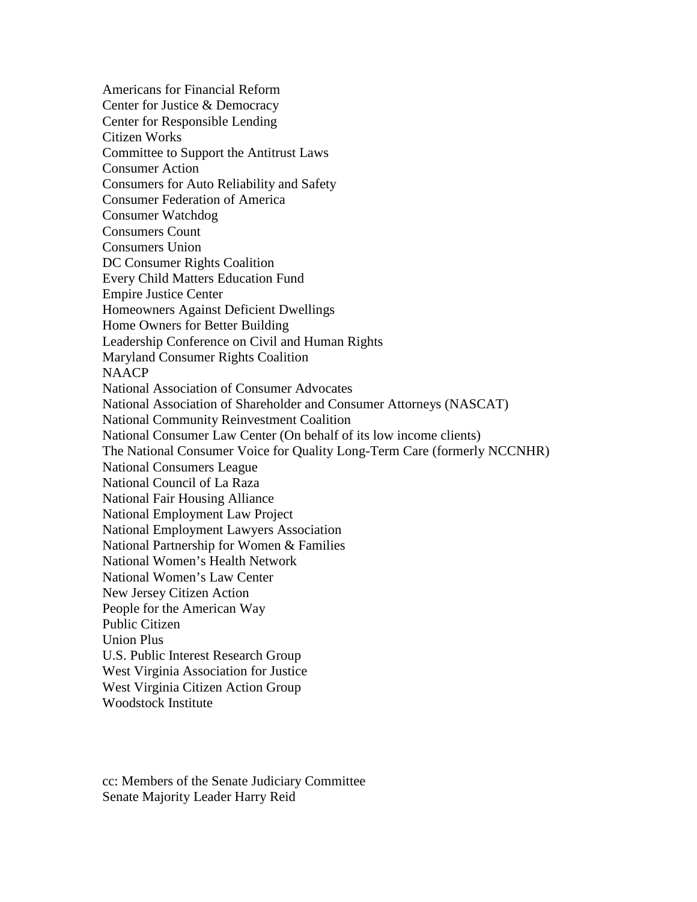Americans for Financial Reform Center for Justice & Democracy Center for Responsible Lending Citizen Works Committee to Support the Antitrust Laws Consumer Action Consumers for Auto Reliability and Safety Consumer Federation of America Consumer Watchdog Consumers Count Consumers Union DC Consumer Rights Coalition Every Child Matters Education Fund Empire Justice Center Homeowners Against Deficient Dwellings Home Owners for Better Building Leadership Conference on Civil and Human Rights Maryland Consumer Rights Coalition **NAACP** National Association of Consumer Advocates National Association of Shareholder and Consumer Attorneys (NASCAT) National Community Reinvestment Coalition National Consumer Law Center (On behalf of its low income clients) The National Consumer Voice for Quality Long-Term Care (formerly NCCNHR) National Consumers League National Council of La Raza National Fair Housing Alliance National Employment Law Project National Employment Lawyers Association National Partnership for Women & Families National Women's Health Network National Women's Law Center New Jersey Citizen Action People for the American Way Public Citizen Union Plus U.S. Public Interest Research Group West Virginia Association for Justice West Virginia Citizen Action Group Woodstock Institute

cc: Members of the Senate Judiciary Committee Senate Majority Leader Harry Reid